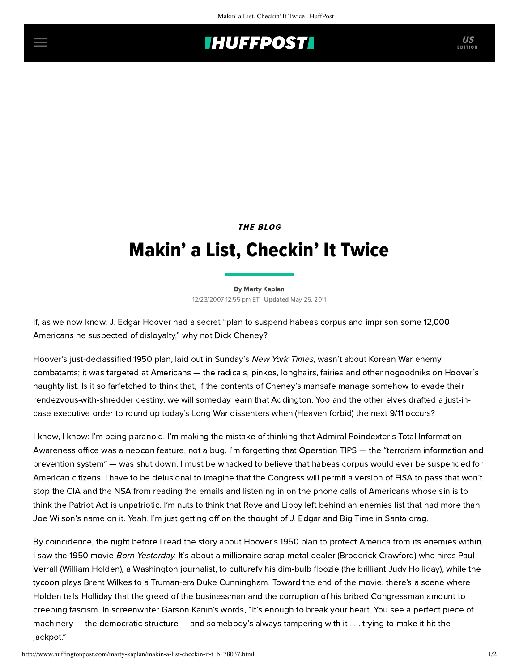## **THUFFPOSTI** US

### THE BLOG

# Makin' a List, Checkin' It Twice

[By Marty Kaplan](http://www.huffingtonpost.com/author/marty-kaplan) 12/23/2007 12:55 pm ET | Updated May 25, 2011

If, as we now know, J. Edgar Hoover had a secret "plan to suspend habeas corpus and imprison some 12,000 Americans he suspected of disloyalty," why not Dick Cheney?

Hoover's just-declassified 1950 [plan,](http://www.nytimes.com/2007/12/22/washington/23habeas-text.html?_r=1&ref=washington&oref=slogin) laid out in Sunday's [New York](http://www.nytimes.com/2007/12/23/washington/23habeas.html?em&ex=1198558800&en=4eae300b9fba9c53&ei=5087%0A) Times, wasn't about Korean War enemy combatants; it was targeted at Americans — the radicals, pinkos, longhairs, fairies and other nogoodniks on Hoover's naughty list. Is it so farfetched to think that, if the contents of Cheney's mansafe manage somehow to evade their rendezvous-with-shredder destiny, we will someday learn that Addington, Yoo and the other elves drafted a just-incase executive order to round up today's Long War dissenters when (Heaven forbid) the next 9/11 occurs?

I know, I know: I'm being paranoid. I'm making the mistake of thinking that Admiral Poindexter's Total Information [Awareness office was a neocon feature, not a bug. I'm forgetting that Operation TIPS — the "terrorism informatio](http://www.newyorker.com/archive/2002/12/09/021209ta_talk_hertzberg)n and prevention system" — was shut down. I must be whacked to believe that [habeas corpus](http://www.youtube.com/watch?v=uqxmPjB0WSs) would ever be suspended for American citizens. I have to be delusional to imagine that the Congress will permit a version of FISA to pass that won't stop the CIA and the NSA from reading the emails and listening in on the phone calls of Americans whose sin is to think the Patriot Act is unpatriotic. I'm nuts to think that Rove and Libby left behind an enemies list that had more than Joe Wilson's name on it. Yeah, I'm just getting off on the thought of J. Edgar and Big Time in Santa drag.

By coincidence, the night before I read the story about Hoover's 1950 plan to protect America from its enemies within, I saw the 1950 movie Born Yesterday. It's about a millionaire scrap-metal dealer (Broderick Crawford) who hires Paul Verrall (William Holden), a Washington journalist, to culturefy his dim-bulb floozie (the brilliant Judy Holliday), while the tycoon plays Brent Wilkes to a Truman-era Duke Cunningham. Toward the end of the movie, there's a scene where Holden tells Holliday that the greed of the businessman and the corruption of his bribed Congressman amount to creeping fascism. In screenwriter Garson Kanin's words, "It's enough to break your heart. You see a perfect piece of machinery — the democratic structure — and somebody's always tampering with it . . . trying to make it hit the jackpot."